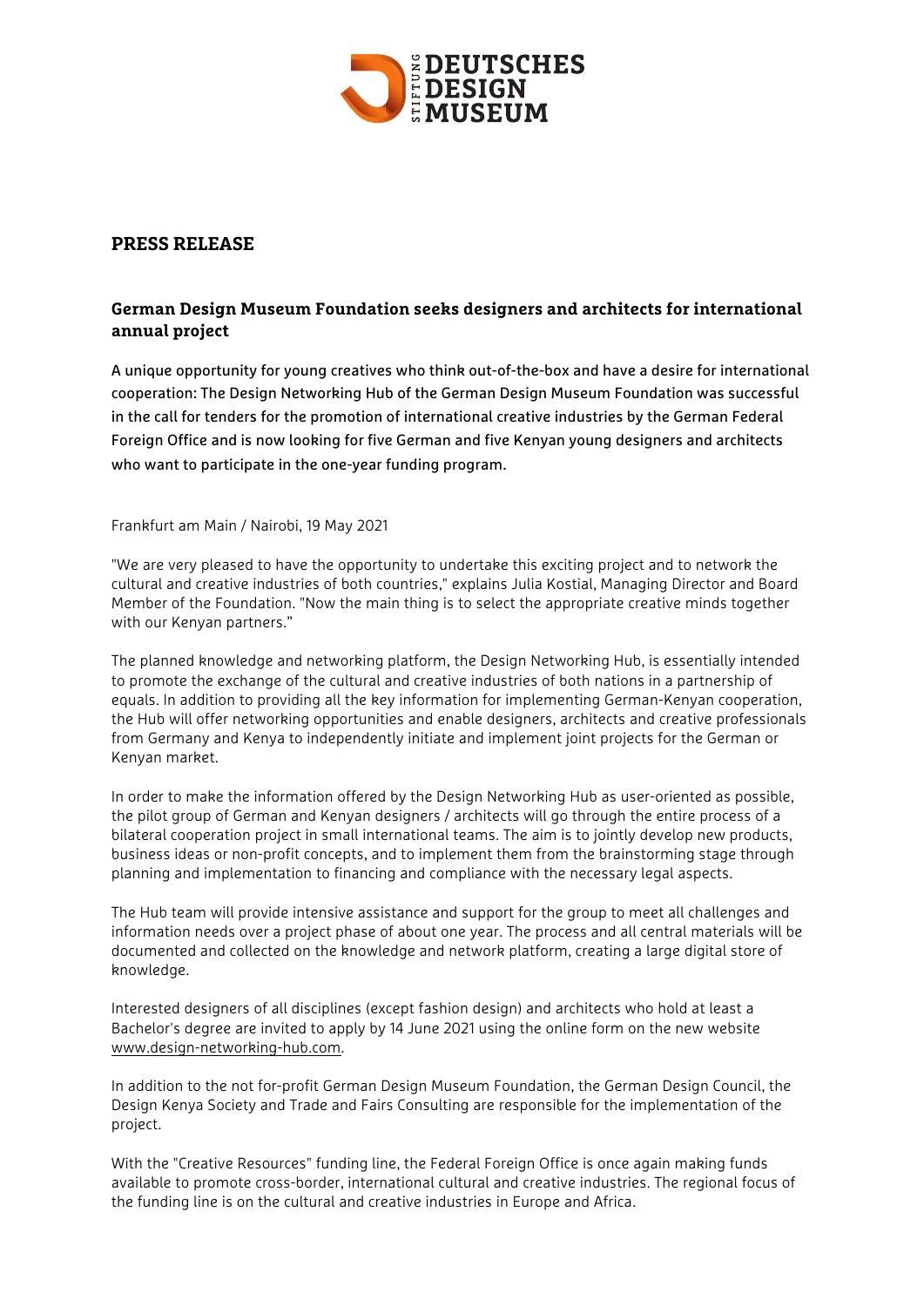

## **PRESS RELEASE**

# **German Design Museum Foundation seeks designers and architects for international annual project**

A unique opportunity for young creatives who think out-of-the-box and have a desire for international cooperation: The Design Networking Hub of the German Design Museum Foundation was successful in the call for tenders for the promotion of international creative industries by the German Federal Foreign Office and is now looking for five German and five Kenyan young designers and architects who want to participate in the one-year funding program.

Frankfurt am Main / Nairobi, 19 May 2021

"We are very pleased to have the opportunity to undertake this exciting project and to network the cultural and creative industries of both countries," explains Julia Kostial, Managing Director and Board Member of the Foundation. "Now the main thing is to select the appropriate creative minds together with our Kenyan partners."

The planned knowledge and networking platform, the Design Networking Hub, is essentially intended to promote the exchange of the cultural and creative industries of both nations in a partnership of equals. In addition to providing all the key information for implementing German-Kenyan cooperation, the Hub will offer networking opportunities and enable designers, architects and creative professionals from Germany and Kenya to independently initiate and implement joint projects for the German or Kenyan market.

In order to make the information offered by the Design Networking Hub as user-oriented as possible, the pilot group of German and Kenyan designers / architects will go through the entire process of a bilateral cooperation project in small international teams. The aim is to jointly develop new products, business ideas or non-profit concepts, and to implement them from the brainstorming stage through planning and implementation to financing and compliance with the necessary legal aspects.

The Hub team will provide intensive assistance and support for the group to meet all challenges and information needs over a project phase of about one year. The process and all central materials will be documented and collected on the knowledge and network platform, creating a large digital store of knowledge.

Interested designers of all disciplines (except fashion design) and architects who hold at least a Bachelor's degree are invited to apply by 14 June 2021 using the online form on the new website www.design-networking-hub.com.

In addition to the not for-profit German Design Museum Foundation, the German Design Council, the Design Kenya Society and Trade and Fairs Consulting are responsible for the implementation of the project.

With the "Creative Resources" funding line, the Federal Foreign Office is once again making funds available to promote cross-border, international cultural and creative industries. The regional focus of the funding line is on the cultural and creative industries in Europe and Africa.